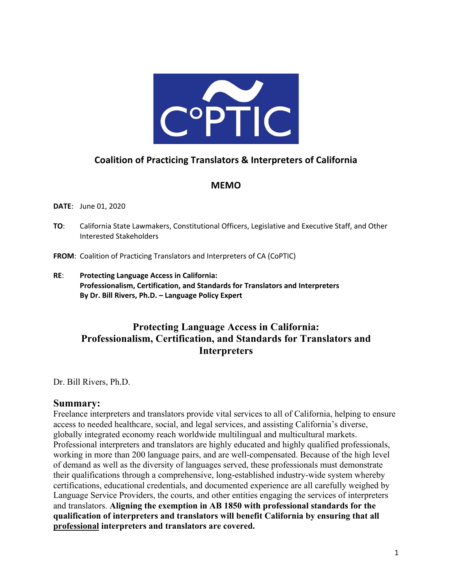

# **Coalition of Practicing Translators & Interpreters of California**

### **MEMO**

#### **DATE**: June 01, 2020

**TO**: California State Lawmakers, Constitutional Officers, Legislative and Executive Staff, and Other Interested Stakeholders

**FROM**: Coalition of Practicing Translators and Interpreters of CA (CoPTIC)

**RE**: **Protecting Language Access in California: Professionalism, Certification, and Standards for Translators and Interpreters By Dr. Bill Rivers, Ph.D. – Language Policy Expert**

# **Protecting Language Access in California: Professionalism, Certification, and Standards for Translators and Interpreters**

Dr. Bill Rivers, Ph.D.

### **Summary:**

Freelance interpreters and translators provide vital services to all of California, helping to ensure access to needed healthcare, social, and legal services, and assisting California's diverse, globally integrated economy reach worldwide multilingual and multicultural markets. Professional interpreters and translators are highly educated and highly qualified professionals, working in more than 200 language pairs, and are well-compensated. Because of the high level of demand as well as the diversity of languages served, these professionals must demonstrate their qualifications through a comprehensive, long-established industry-wide system whereby certifications, educational credentials, and documented experience are all carefully weighed by Language Service Providers, the courts, and other entities engaging the services of interpreters and translators. **Aligning the exemption in AB 1850 with professional standards for the qualification of interpreters and translators will benefit California by ensuring that all professional interpreters and translators are covered.**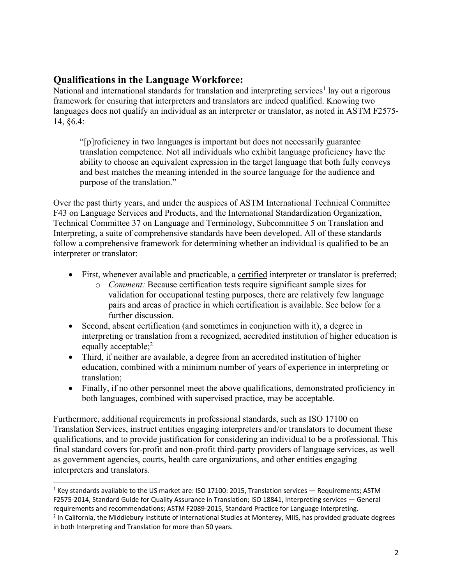## **Qualifications in the Language Workforce:**

National and international standards for translation and interpreting services<sup>1</sup> lay out a rigorous framework for ensuring that interpreters and translators are indeed qualified. Knowing two languages does not qualify an individual as an interpreter or translator, as noted in ASTM F2575-14, §6.4:

"[p]roficiency in two languages is important but does not necessarily guarantee translation competence. Not all individuals who exhibit language proficiency have the ability to choose an equivalent expression in the target language that both fully conveys and best matches the meaning intended in the source language for the audience and purpose of the translation."

Over the past thirty years, and under the auspices of ASTM International Technical Committee F43 on Language Services and Products, and the International Standardization Organization, Technical Committee 37 on Language and Terminology, Subcommittee 5 on Translation and Interpreting, a suite of comprehensive standards have been developed. All of these standards follow a comprehensive framework for determining whether an individual is qualified to be an interpreter or translator:

- First, whenever available and practicable, a certified interpreter or translator is preferred;
	- o *Comment:* Because certification tests require significant sample sizes for validation for occupational testing purposes, there are relatively few language pairs and areas of practice in which certification is available. See below for a further discussion.
- Second, absent certification (and sometimes in conjunction with it), a degree in interpreting or translation from a recognized, accredited institution of higher education is equally acceptable;<sup>2</sup>
- Third, if neither are available, a degree from an accredited institution of higher education, combined with a minimum number of years of experience in interpreting or translation;
- Finally, if no other personnel meet the above qualifications, demonstrated proficiency in both languages, combined with supervised practice, may be acceptable.

Furthermore, additional requirements in professional standards, such as ISO 17100 on Translation Services, instruct entities engaging interpreters and/or translators to document these qualifications, and to provide justification for considering an individual to be a professional. This final standard covers for-profit and non-profit third-party providers of language services, as well as government agencies, courts, health care organizations, and other entities engaging interpreters and translators.

 $1$  Key standards available to the US market are: ISO 17100: 2015, Translation services  $-$  Requirements; ASTM F2575-2014, Standard Guide for Quality Assurance in Translation; ISO 18841, Interpreting services — General requirements and recommendations; ASTM F2089-2015, Standard Practice for Language Interpreting. <sup>2</sup> In California, the Middlebury Institute of International Studies at Monterey, MIIS, has provided graduate degrees in both Interpreting and Translation for more than 50 years.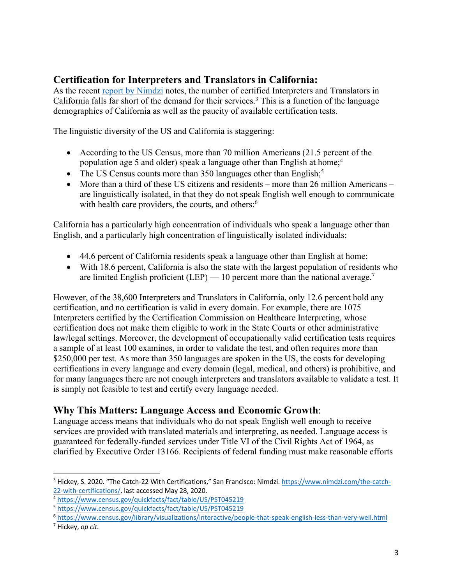# **Certification for Interpreters and Translators in California:**

As the recent report by Nimdzi notes, the number of certified Interpreters and Translators in California falls far short of the demand for their services.<sup>3</sup> This is a function of the language demographics of California as well as the paucity of available certification tests.

The linguistic diversity of the US and California is staggering:

- According to the US Census, more than 70 million Americans (21.5 percent of the population age 5 and older) speak a language other than English at home;<sup>4</sup>
- The US Census counts more than  $350$  languages other than English;<sup>5</sup>
- More than a third of these US citizens and residents more than 26 million Americans are linguistically isolated, in that they do not speak English well enough to communicate with health care providers, the courts, and others;<sup>6</sup>

California has a particularly high concentration of individuals who speak a language other than English, and a particularly high concentration of linguistically isolated individuals:

- 44.6 percent of California residents speak a language other than English at home;
- With 18.6 percent, California is also the state with the largest population of residents who are limited English proficient (LEP)  $-10$  percent more than the national average.<sup>7</sup>

However, of the 38,600 Interpreters and Translators in California, only 12.6 percent hold any certification, and no certification is valid in every domain. For example, there are 1075 Interpreters certified by the Certification Commission on Healthcare Interpreting, whose certification does not make them eligible to work in the State Courts or other administrative law/legal settings. Moreover, the development of occupationally valid certification tests requires a sample of at least 100 examines, in order to validate the test, and often requires more than \$250,000 per test. As more than 350 languages are spoken in the US, the costs for developing certifications in every language and every domain (legal, medical, and others) is prohibitive, and for many languages there are not enough interpreters and translators available to validate a test. It is simply not feasible to test and certify every language needed.

### **Why This Matters: Language Access and Economic Growth**:

Language access means that individuals who do not speak English well enough to receive services are provided with translated materials and interpreting, as needed. Language access is guaranteed for federally-funded services under Title VI of the Civil Rights Act of 1964, as clarified by Executive Order 13166. Recipients of federal funding must make reasonable efforts

<sup>3</sup> Hickey, S. 2020. "The Catch-22 With Certifications," San Francisco: Nimdzi. https://www.nimdzi.com/the-catch-22-with-certifications/, last accessed May 28, 2020.

<sup>4</sup> https://www.census.gov/quickfacts/fact/table/US/PST045219

<sup>5</sup> https://www.census.gov/quickfacts/fact/table/US/PST045219

<sup>6</sup> https://www.census.gov/library/visualizations/interactive/people-that-speak-english-less-than-very-well.html

<sup>7</sup> Hickey, *op cit.*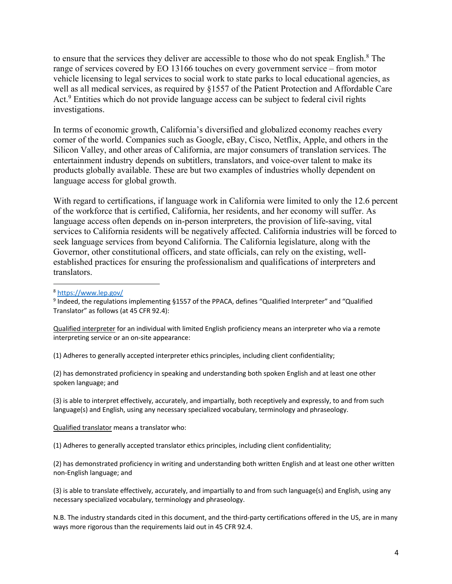to ensure that the services they deliver are accessible to those who do not speak English.<sup>8</sup> The range of services covered by EO 13166 touches on every government service – from motor vehicle licensing to legal services to social work to state parks to local educational agencies, as well as all medical services, as required by §1557 of the Patient Protection and Affordable Care Act.<sup>9</sup> Entities which do not provide language access can be subject to federal civil rights investigations.

In terms of economic growth, California's diversified and globalized economy reaches every corner of the world. Companies such as Google, eBay, Cisco, Netflix, Apple, and others in the Silicon Valley, and other areas of California, are major consumers of translation services. The entertainment industry depends on subtitlers, translators, and voice-over talent to make its products globally available. These are but two examples of industries wholly dependent on language access for global growth.

With regard to certifications, if language work in California were limited to only the 12.6 percent of the workforce that is certified, California, her residents, and her economy will suffer. As language access often depends on in-person interpreters, the provision of life-saving, vital services to California residents will be negatively affected. California industries will be forced to seek language services from beyond California. The California legislature, along with the Governor, other constitutional officers, and state officials, can rely on the existing, wellestablished practices for ensuring the professionalism and qualifications of interpreters and translators.

Qualified interpreter for an individual with limited English proficiency means an interpreter who via a remote interpreting service or an on-site appearance:

(1) Adheres to generally accepted interpreter ethics principles, including client confidentiality;

(2) has demonstrated proficiency in speaking and understanding both spoken English and at least one other spoken language; and

(3) is able to interpret effectively, accurately, and impartially, both receptively and expressly, to and from such language(s) and English, using any necessary specialized vocabulary, terminology and phraseology.

Qualified translator means a translator who:

(1) Adheres to generally accepted translator ethics principles, including client confidentiality;

(2) has demonstrated proficiency in writing and understanding both written English and at least one other written non-English language; and

(3) is able to translate effectively, accurately, and impartially to and from such language(s) and English, using any necessary specialized vocabulary, terminology and phraseology.

N.B. The industry standards cited in this document, and the third-party certifications offered in the US, are in many ways more rigorous than the requirements laid out in 45 CFR 92.4.

<sup>8</sup> https://www.lep.gov/

<sup>&</sup>lt;sup>9</sup> Indeed, the regulations implementing §1557 of the PPACA, defines "Qualified Interpreter" and "Qualified Translator" as follows (at 45 CFR 92.4):